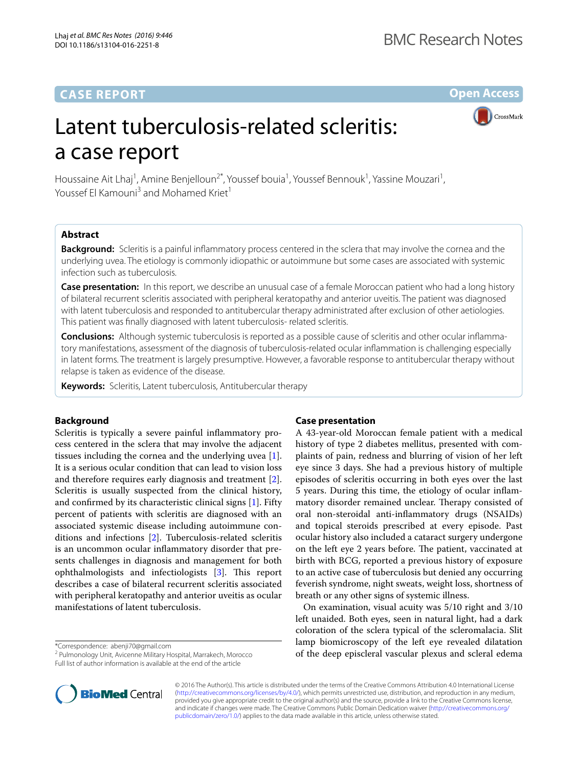# **CASE REPORT**

**Open Access**

**CrossMark** 

# Latent tuberculosis-related scleritis: a case report

Houssaine Ait Lhaj<sup>1</sup>, Amine Benjelloun<sup>2\*</sup>, Youssef bouia<sup>1</sup>, Youssef Bennouk<sup>1</sup>, Yassine Mouzari<sup>1</sup>, Youssef El Kamouni<sup>3</sup> and Mohamed Kriet<sup>1</sup>

# **Abstract**

**Background:** Scleritis is a painful inflammatory process centered in the sclera that may involve the cornea and the underlying uvea. The etiology is commonly idiopathic or autoimmune but some cases are associated with systemic infection such as tuberculosis.

**Case presentation:** In this report, we describe an unusual case of a female Moroccan patient who had a long history of bilateral recurrent scleritis associated with peripheral keratopathy and anterior uveitis. The patient was diagnosed with latent tuberculosis and responded to antitubercular therapy administrated after exclusion of other aetiologies. This patient was finally diagnosed with latent tuberculosis- related scleritis.

**Conclusions:** Although systemic tuberculosis is reported as a possible cause of scleritis and other ocular inflammatory manifestations, assessment of the diagnosis of tuberculosis-related ocular inflammation is challenging especially in latent forms. The treatment is largely presumptive. However, a favorable response to antitubercular therapy without relapse is taken as evidence of the disease.

**Keywords:** Scleritis, Latent tuberculosis, Antitubercular therapy

## **Background**

Scleritis is typically a severe painful inflammatory process centered in the sclera that may involve the adjacent tissues including the cornea and the underlying uvea [\[1](#page-3-0)]. It is a serious ocular condition that can lead to vision loss and therefore requires early diagnosis and treatment [\[2](#page-3-1)]. Scleritis is usually suspected from the clinical history, and confirmed by its characteristic clinical signs [\[1](#page-3-0)]. Fifty percent of patients with scleritis are diagnosed with an associated systemic disease including autoimmune conditions and infections [\[2](#page-3-1)]. Tuberculosis-related scleritis is an uncommon ocular inflammatory disorder that presents challenges in diagnosis and management for both ophthalmologists and infectiologists [\[3](#page-3-2)]. This report describes a case of bilateral recurrent scleritis associated with peripheral keratopathy and anterior uveitis as ocular manifestations of latent tuberculosis.

\*Correspondence: abenji70@gmail.com

<sup>2</sup> Pulmonology Unit, Avicenne Military Hospital, Marrakech, Morocco Full list of author information is available at the end of the article

## **Case presentation**

A 43-year-old Moroccan female patient with a medical history of type 2 diabetes mellitus, presented with complaints of pain, redness and blurring of vision of her left eye since 3 days. She had a previous history of multiple episodes of scleritis occurring in both eyes over the last 5 years. During this time, the etiology of ocular inflammatory disorder remained unclear. Therapy consisted of oral non-steroidal anti-inflammatory drugs (NSAIDs) and topical steroids prescribed at every episode. Past ocular history also included a cataract surgery undergone on the left eye 2 years before. The patient, vaccinated at birth with BCG, reported a previous history of exposure to an active case of tuberculosis but denied any occurring feverish syndrome, night sweats, weight loss, shortness of breath or any other signs of systemic illness.

On examination, visual acuity was 5/10 right and 3/10 left unaided. Both eyes, seen in natural light, had a dark coloration of the sclera typical of the scleromalacia. Slit lamp biomicroscopy of the left eye revealed dilatation of the deep episcleral vascular plexus and scleral edema



© 2016 The Author(s). This article is distributed under the terms of the Creative Commons Attribution 4.0 International License [\(http://creativecommons.org/licenses/by/4.0/\)](http://creativecommons.org/licenses/by/4.0/), which permits unrestricted use, distribution, and reproduction in any medium, provided you give appropriate credit to the original author(s) and the source, provide a link to the Creative Commons license, and indicate if changes were made. The Creative Commons Public Domain Dedication waiver ([http://creativecommons.org/](http://creativecommons.org/publicdomain/zero/1.0/) [publicdomain/zero/1.0/](http://creativecommons.org/publicdomain/zero/1.0/)) applies to the data made available in this article, unless otherwise stated.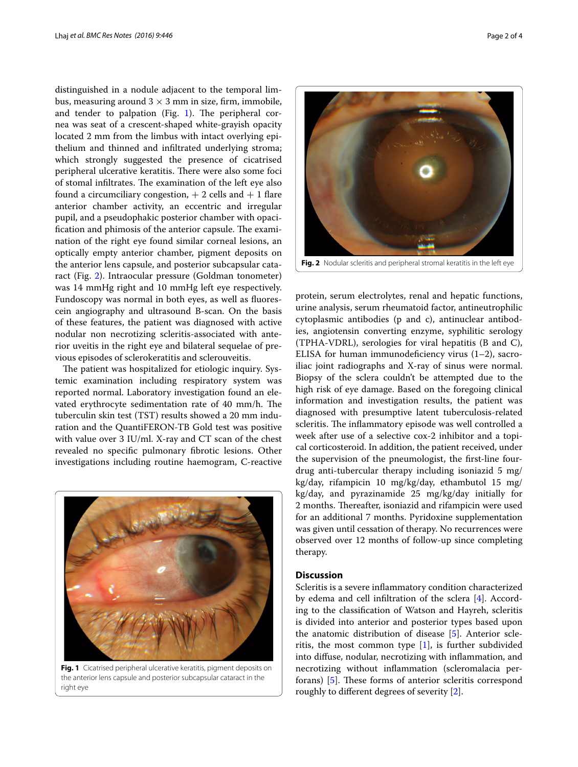distinguished in a nodule adjacent to the temporal limbus, measuring around  $3 \times 3$  mm in size, firm, immobile, and tender to palpation (Fig. [1\)](#page-1-0). The peripheral cornea was seat of a crescent-shaped white-grayish opacity located 2 mm from the limbus with intact overlying epithelium and thinned and infiltrated underlying stroma; which strongly suggested the presence of cicatrised peripheral ulcerative keratitis. There were also some foci of stomal infiltrates. The examination of the left eye also found a circumciliary congestion,  $+ 2$  cells and  $+ 1$  flare anterior chamber activity, an eccentric and irregular pupil, and a pseudophakic posterior chamber with opacification and phimosis of the anterior capsule. The examination of the right eye found similar corneal lesions, an optically empty anterior chamber, pigment deposits on the anterior lens capsule, and posterior subcapsular cataract (Fig. [2\)](#page-1-1). Intraocular pressure (Goldman tonometer) was 14 mmHg right and 10 mmHg left eye respectively. Fundoscopy was normal in both eyes, as well as fluorescein angiography and ultrasound B-scan. On the basis of these features, the patient was diagnosed with active nodular non necrotizing scleritis-associated with anterior uveitis in the right eye and bilateral sequelae of previous episodes of sclerokeratitis and sclerouveitis.

The patient was hospitalized for etiologic inquiry. Systemic examination including respiratory system was reported normal. Laboratory investigation found an elevated erythrocyte sedimentation rate of 40 mm/h. The tuberculin skin test (TST) results showed a 20 mm induration and the QuantiFERON-TB Gold test was positive with value over 3 IU/ml. X-ray and CT scan of the chest revealed no specific pulmonary fibrotic lesions. Other investigations including routine haemogram, C-reactive

<span id="page-1-0"></span>

**Fig. 1** Cicatrised peripheral ulcerative keratitis, pigment deposits on the anterior lens capsule and posterior subcapsular cataract in the right eye



<span id="page-1-1"></span>protein, serum electrolytes, renal and hepatic functions, urine analysis, serum rheumatoid factor, antineutrophilic cytoplasmic antibodies (p and c), antinuclear antibodies, angiotensin converting enzyme, syphilitic serology (TPHA-VDRL), serologies for viral hepatitis (B and C), ELISA for human immunodeficiency virus  $(1-2)$ , sacroiliac joint radiographs and X-ray of sinus were normal. Biopsy of the sclera couldn't be attempted due to the high risk of eye damage. Based on the foregoing clinical information and investigation results, the patient was diagnosed with presumptive latent tuberculosis-related scleritis. The inflammatory episode was well controlled a week after use of a selective cox-2 inhibitor and a topical corticosteroid. In addition, the patient received, under the supervision of the pneumologist, the first-line fourdrug anti-tubercular therapy including isoniazid 5 mg/ kg/day, rifampicin 10 mg/kg/day, ethambutol 15 mg/ kg/day, and pyrazinamide 25 mg/kg/day initially for 2 months. Thereafter, isoniazid and rifampicin were used for an additional 7 months. Pyridoxine supplementation was given until cessation of therapy. No recurrences were observed over 12 months of follow-up since completing therapy.

# **Discussion**

Scleritis is a severe inflammatory condition characterized by edema and cell infiltration of the sclera [\[4](#page-3-3)]. According to the classification of Watson and Hayreh, scleritis is divided into anterior and posterior types based upon the anatomic distribution of disease [[5\]](#page-3-4). Anterior scleritis, the most common type  $[1]$  $[1]$ , is further subdivided into diffuse, nodular, necrotizing with inflammation, and necrotizing without inflammation (scleromalacia perforans) [\[5](#page-3-4)]. These forms of anterior scleritis correspond roughly to different degrees of severity [\[2](#page-3-1)].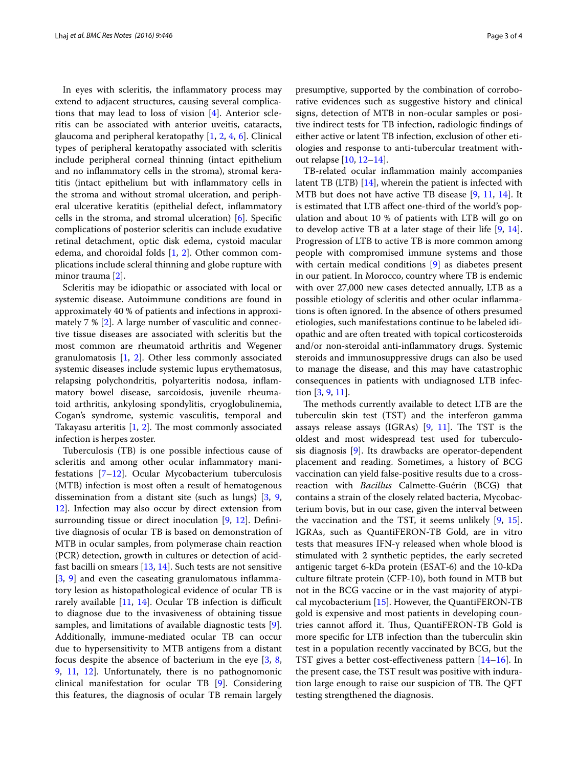In eyes with scleritis, the inflammatory process may extend to adjacent structures, causing several complications that may lead to loss of vision [\[4](#page-3-3)]. Anterior scleritis can be associated with anterior uveitis, cataracts, glaucoma and peripheral keratopathy [\[1,](#page-3-0) [2,](#page-3-1) [4,](#page-3-3) [6\]](#page-3-5). Clinical types of peripheral keratopathy associated with scleritis include peripheral corneal thinning (intact epithelium and no inflammatory cells in the stroma), stromal keratitis (intact epithelium but with inflammatory cells in the stroma and without stromal ulceration, and peripheral ulcerative keratitis (epithelial defect, inflammatory cells in the stroma, and stromal ulceration) [[6\]](#page-3-5). Specific complications of posterior scleritis can include exudative retinal detachment, optic disk edema, cystoid macular edema, and choroidal folds [[1,](#page-3-0) [2](#page-3-1)]. Other common complications include scleral thinning and globe rupture with minor trauma [\[2](#page-3-1)].

Scleritis may be idiopathic or associated with local or systemic disease. Autoimmune conditions are found in approximately 40 % of patients and infections in approximately 7 % [\[2](#page-3-1)]. A large number of vasculitic and connective tissue diseases are associated with scleritis but the most common are rheumatoid arthritis and Wegener granulomatosis [[1,](#page-3-0) [2](#page-3-1)]. Other less commonly associated systemic diseases include systemic lupus erythematosus, relapsing polychondritis, polyarteritis nodosa, inflammatory bowel disease, sarcoidosis, juvenile rheumatoid arthritis, ankylosing spondylitis, cryoglobulinemia, Cogan's syndrome, systemic vasculitis, temporal and Takayasu arteritis [[1,](#page-3-0) [2](#page-3-1)]. The most commonly associated infection is herpes zoster.

Tuberculosis (TB) is one possible infectious cause of scleritis and among other ocular inflammatory manifestations [[7](#page-3-6)[–12](#page-3-7)]. Ocular Mycobacterium tuberculosis (MTB) infection is most often a result of hematogenous dissemination from a distant site (such as lungs) [\[3](#page-3-2), [9](#page-3-8), [12\]](#page-3-7). Infection may also occur by direct extension from surrounding tissue or direct inoculation [[9,](#page-3-8) [12\]](#page-3-7). Definitive diagnosis of ocular TB is based on demonstration of MTB in ocular samples, from polymerase chain reaction (PCR) detection, growth in cultures or detection of acidfast bacilli on smears [\[13,](#page-3-9) [14](#page-3-10)]. Such tests are not sensitive [[3,](#page-3-2) [9\]](#page-3-8) and even the caseating granulomatous inflammatory lesion as histopathological evidence of ocular TB is rarely available [[11,](#page-3-11) [14](#page-3-10)]. Ocular TB infection is difficult to diagnose due to the invasiveness of obtaining tissue samples, and limitations of available diagnostic tests [\[9](#page-3-8)]. Additionally, immune-mediated ocular TB can occur due to hypersensitivity to MTB antigens from a distant focus despite the absence of bacterium in the eye [[3,](#page-3-2) [8](#page-3-12), [9,](#page-3-8) [11,](#page-3-11) [12](#page-3-7)]. Unfortunately, there is no pathognomonic clinical manifestation for ocular TB [\[9](#page-3-8)]. Considering this features, the diagnosis of ocular TB remain largely presumptive, supported by the combination of corroborative evidences such as suggestive history and clinical signs, detection of MTB in non-ocular samples or positive indirect tests for TB infection, radiologic findings of either active or latent TB infection, exclusion of other etiologies and response to anti-tubercular treatment without relapse [[10,](#page-3-13) [12](#page-3-7)[–14\]](#page-3-10).

TB-related ocular inflammation mainly accompanies latent TB (LTB) [\[14\]](#page-3-10), wherein the patient is infected with MTB but does not have active TB disease [[9](#page-3-8), [11,](#page-3-11) [14](#page-3-10)]. It is estimated that LTB affect one-third of the world's population and about 10 % of patients with LTB will go on to develop active TB at a later stage of their life [[9,](#page-3-8) [14](#page-3-10)]. Progression of LTB to active TB is more common among people with compromised immune systems and those with certain medical conditions [\[9\]](#page-3-8) as diabetes present in our patient. In Morocco, country where TB is endemic with over 27,000 new cases detected annually, LTB as a possible etiology of scleritis and other ocular inflammations is often ignored. In the absence of others presumed etiologies, such manifestations continue to be labeled idiopathic and are often treated with topical corticosteroids and/or non-steroidal anti-inflammatory drugs. Systemic steroids and immunosuppressive drugs can also be used to manage the disease, and this may have catastrophic consequences in patients with undiagnosed LTB infection [[3,](#page-3-2) [9](#page-3-8), [11](#page-3-11)].

The methods currently available to detect LTB are the tuberculin skin test (TST) and the interferon gamma assays release assays (IGRAs) [\[9](#page-3-8), [11](#page-3-11)]. The TST is the oldest and most widespread test used for tuberculosis diagnosis [\[9](#page-3-8)]. Its drawbacks are operator-dependent placement and reading. Sometimes, a history of BCG vaccination can yield false-positive results due to a crossreaction with *Bacillus* Calmette-Guérin (BCG) that contains a strain of the closely related bacteria, Mycobacterium bovis, but in our case, given the interval between the vaccination and the TST, it seems unlikely [[9,](#page-3-8) [15](#page-3-14)]. IGRAs, such as QuantiFERON-TB Gold, are in vitro tests that measures IFN-γ released when whole blood is stimulated with 2 synthetic peptides, the early secreted antigenic target 6-kDa protein (ESAT-6) and the 10-kDa culture filtrate protein (CFP-10), both found in MTB but not in the BCG vaccine or in the vast majority of atypical mycobacterium [\[15](#page-3-14)]. However, the QuantiFERON-TB gold is expensive and most patients in developing countries cannot afford it. Thus, QuantiFERON-TB Gold is more specific for LTB infection than the tuberculin skin test in a population recently vaccinated by BCG, but the TST gives a better cost-effectiveness pattern [[14](#page-3-10)[–16](#page-3-15)]. In the present case, the TST result was positive with induration large enough to raise our suspicion of TB. The QFT testing strengthened the diagnosis.